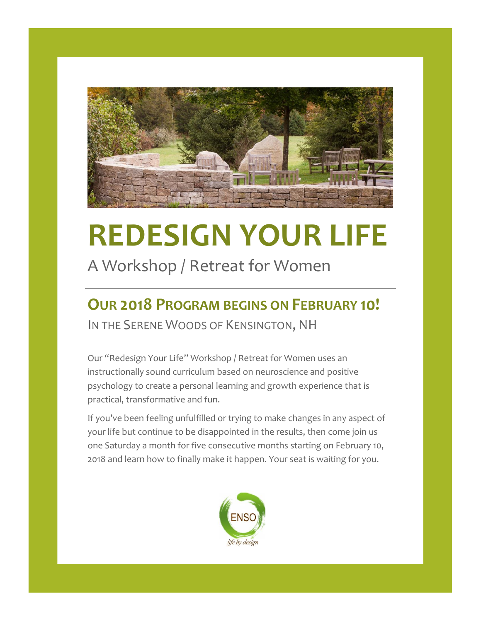

# **REDESIGN YOUR LIFE**

# A Workshop / Retreat for Women

# **OUR 2018 PROGRAM BEGINS ON FEBRUARY 10!** IN THE SERENE WOODS OF KENSINGTON, NH

Our "Redesign Your Life" Workshop / Retreat for Women uses an instructionally sound curriculum based on neuroscience and positive psychology to create a personal learning and growth experience that is practical, transformative and fun.

If you've been feeling unfulfilled or trying to make changes in any aspect of your life but continue to be disappointed in the results, then come join us one Saturday a month for five consecutive months starting on February 10, 2018 and learn how to finally make it happen. Your seat is waiting for you.

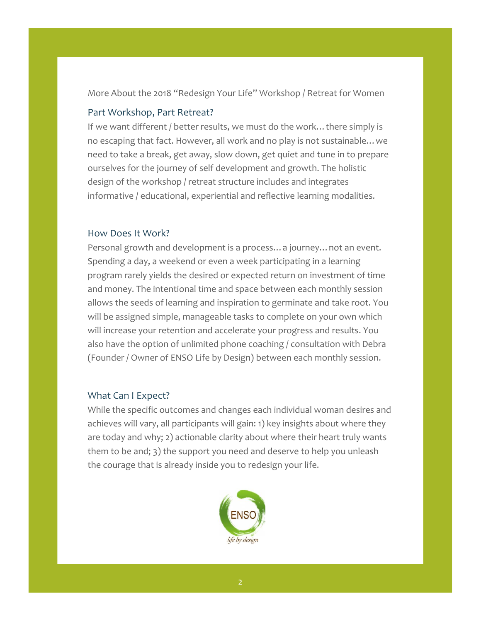More About the 2018 "Redesign Your Life" Workshop / Retreat for Women

### Part Workshop, Part Retreat?

If we want different / better results, we must do the work…there simply is no escaping that fact. However, all work and no play is not sustainable…we need to take a break, get away, slow down, get quiet and tune in to prepare ourselves for the journey of self development and growth. The holistic design of the workshop / retreat structure includes and integrates informative / educational, experiential and reflective learning modalities.

#### How Does It Work?

Personal growth and development is a process…a journey…not an event. Spending a day, a weekend or even a week participating in a learning program rarely yields the desired or expected return on investment of time and money. The intentional time and space between each monthly session allows the seeds of learning and inspiration to germinate and take root. You will be assigned simple, manageable tasks to complete on your own which will increase your retention and accelerate your progress and results. You also have the option of unlimited phone coaching / consultation with Debra (Founder / Owner of ENSO Life by Design) between each monthly session.

#### What Can I Expect?

While the specific outcomes and changes each individual woman desires and achieves will vary, all participants will gain: 1) key insights about where they are today and why; 2) actionable clarity about where their heart truly wants them to be and; 3) the support you need and deserve to help you unleash the courage that is already inside you to redesign your life.

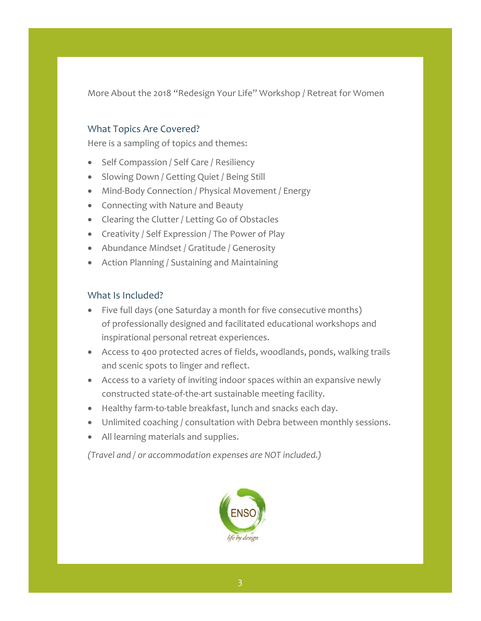More About the 2018 "Redesign Your Life" Workshop / Retreat for Women

## What Topics Are Covered?

Here is a sampling of topics and themes:

- Self Compassion / Self Care / Resiliency
- Slowing Down / Getting Quiet / Being Still
- Mind-Body Connection / Physical Movement / Energy
- Connecting with Nature and Beauty
- Clearing the Clutter / Letting Go of Obstacles
- Creativity / Self Expression / The Power of Play
- Abundance Mindset / Gratitude / Generosity
- Action Planning / Sustaining and Maintaining

#### What Is Included?

- Five full days (one Saturday a month for five consecutive months) of professionally designed and facilitated educational workshops and inspirational personal retreat experiences.
- Access to 400 protected acres of fields, woodlands, ponds, walking trails and scenic spots to linger and reflect.
- Access to a variety of inviting indoor spaces within an expansive newly constructed state-of-the-art sustainable meeting facility.
- Healthy farm-to-table breakfast, lunch and snacks each day.
- Unlimited coaching / consultation with Debra between monthly sessions.
- All learning materials and supplies.

*(Travel and / or accommodation expenses are NOT included.)*

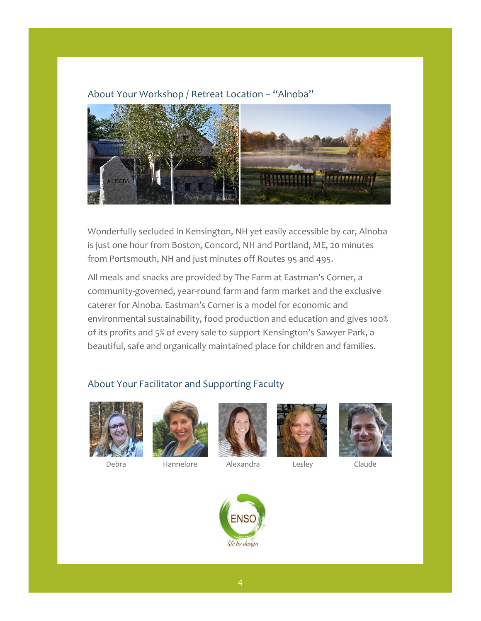#### About Your Workshop / Retreat Location – "Alnoba"



Wonderfully secluded in Kensington, NH yet easily accessible by car, Alnoba is just one hour from Boston, Concord, NH and Portland, ME, 20 minutes from Portsmouth, NH and just minutes off Routes 95 and 495.

All meals and snacks are provided by The Farm at Eastman's Corner, a community-governed, year-round farm and farm market and the exclusive caterer for Alnoba. Eastman's Corner is a model for economic and environmental sustainability, food production and education and gives 100% of its profits and 5% of every sale to support Kensington's Sawyer Park, a beautiful, safe and organically maintained place for children and families.

#### About Your Facilitator and Supporting Faculty





Debra Hannelore Alexandra Lesley Claude







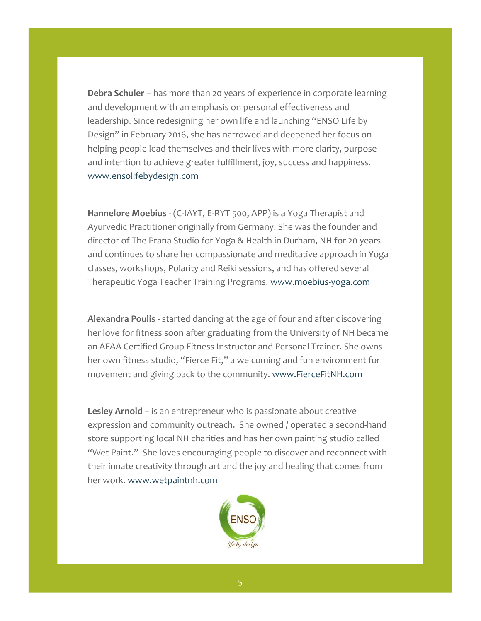**Debra Schuler** – has more than 20 years of experience in corporate learning and development with an emphasis on personal effectiveness and leadership. Since redesigning her own life and launching "ENSO Life by Design" in February 2016, she has narrowed and deepened her focus on helping people lead themselves and their lives with more clarity, purpose and intention to achieve greater fulfillment, joy, success and happiness. [www.ensolifebydesign.com](http://www.ensolifebydesign.com/)

**Hannelore Moebius** - (C-IAYT, E-RYT 500, APP) is a Yoga Therapist and Ayurvedic Practitioner originally from Germany. She was the founder and director of The Prana Studio for Yoga & Health in Durham, NH for 20 years and continues to share her compassionate and meditative approach in Yoga classes, workshops, Polarity and Reiki sessions, and has offered several Therapeutic Yoga Teacher Training Programs. [www.moebius-yoga.com](http://www.moebius-yoga.com/)

**Alexandra Poulis** - started dancing at the age of four and after discovering her love for fitness soon after graduating from the University of NH became an AFAA Certified Group Fitness Instructor and Personal Trainer. She owns her own fitness studio, "Fierce Fit," a welcoming and fun environment for movement and giving back to the community. [www.FierceFitNH.com](http://www.fiercefitnh.com/)

**Lesley Arnold** – is an entrepreneur who is passionate about creative expression and community outreach. She owned / operated a second-hand store supporting local NH charities and has her own painting studio called "Wet Paint." She loves encouraging people to discover and reconnect with their innate creativity through art and the joy and healing that comes from her work. [www.wetpaintnh.com](http://www.wetpaintnh.com/)